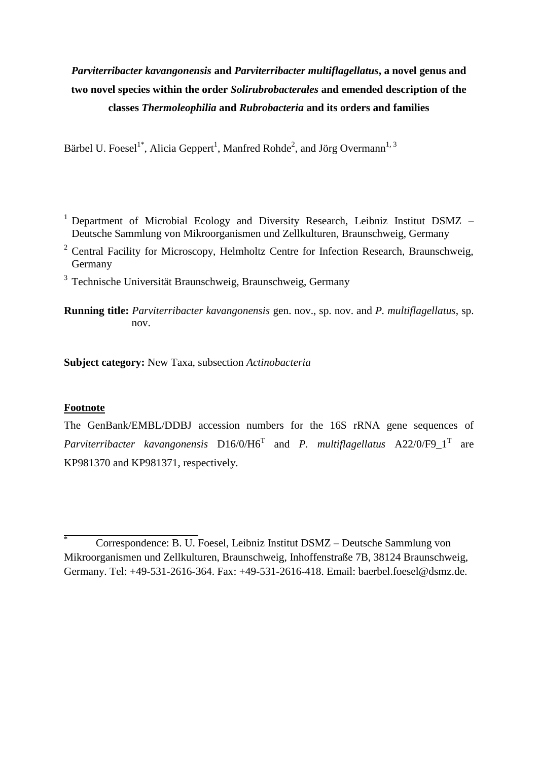# *Parviterribacter kavangonensis* **and** *Parviterribacter multiflagellatus***, a novel genus and two novel species within the order** *Solirubrobacterales* **and emended description of the classes** *Thermoleophilia* **and** *Rubrobacteria* **and its orders and families**

Bärbel U. Foesel<sup>1\*</sup>, Alicia Geppert<sup>1</sup>, Manfred Rohde<sup>2</sup>, and Jörg Overmann<sup>1, 3</sup>

- <sup>1</sup> Department of Microbial Ecology and Diversity Research, Leibniz Institut DSMZ Deutsche Sammlung von Mikroorganismen und Zellkulturen, Braunschweig, Germany
- <sup>2</sup> Central Facility for Microscopy, Helmholtz Centre for Infection Research, Braunschweig, Germany
- <sup>3</sup> Technische Universität Braunschweig, Braunschweig, Germany
- **Running title:** *Parviterribacter kavangonensis* gen. nov., sp. nov. and *P. multiflagellatus*, sp. nov.

**Subject category:** New Taxa, subsection *Actinobacteria*

### **Footnote**

The GenBank/EMBL/DDBJ accession numbers for the 16S rRNA gene sequences of *Parviterribacter kavangonensis*  $D16/0/H6<sup>T</sup>$  and *P. multiflagellatus*  $A22/0/F9\_1<sup>T</sup>$  are KP981370 and KP981371, respectively.

<sup>\*</sup> Correspondence: B. U. Foesel, Leibniz Institut DSMZ – Deutsche Sammlung von Mikroorganismen und Zellkulturen, Braunschweig, Inhoffenstraße 7B, 38124 Braunschweig, Germany. Tel: +49-531-2616-364. Fax: +49-531-2616-418. Email: baerbel.foesel@dsmz.de.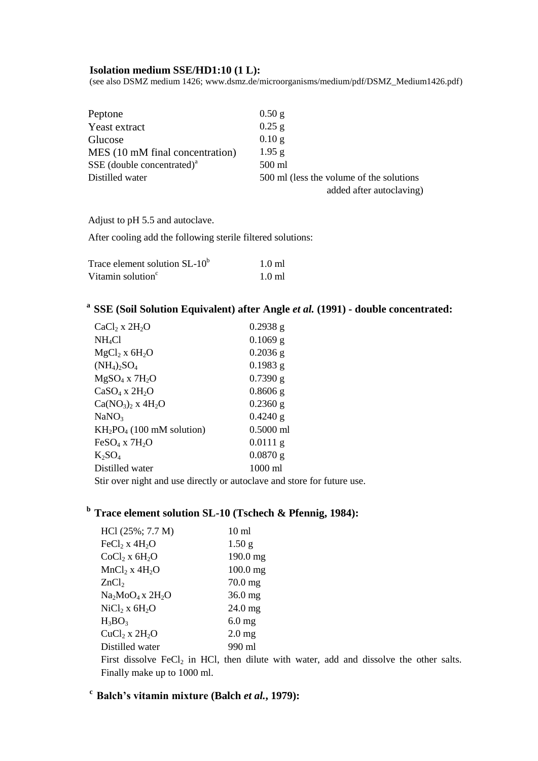#### **Isolation medium SSE/HD1:10 (1 L):**

(see also DSMZ medium 1426; [www.dsmz.de/microorganisms/medium/pdf/DSMZ\\_Medium1426.pdf\)](http://www.dsmz.de/microorganisms/medium/pdf/DSMZ_Medium1426.pdf)

| Peptone                         | 0.50 g                                   |
|---------------------------------|------------------------------------------|
| Yeast extract                   | $0.25$ g                                 |
| Glucose                         | $0.10$ g                                 |
| MES (10 mM final concentration) | $1.95$ g                                 |
| SSE (double concentrated) $a$   | 500 ml                                   |
| Distilled water                 | 500 ml (less the volume of the solutions |
|                                 | added after autoclaving)                 |

Adjust to pH 5.5 and autoclave.

After cooling add the following sterile filtered solutions:

| Trace element solution $SL-10^b$ | $1.0 \text{ ml}$ |
|----------------------------------|------------------|
| Vitamin solution <sup>c</sup>    | $1.0 \text{ ml}$ |

# **<sup>a</sup>SSE (Soil Solution Equivalent) after Angle** *et al.* **(1991) - double concentrated:**

| $CaCl2$ x $2H2O$                                              | 0.2938 g    |  |  |  |
|---------------------------------------------------------------|-------------|--|--|--|
| NH <sub>4</sub> Cl                                            | $0.1069$ g  |  |  |  |
| $MgCl2$ x 6H <sub>2</sub> O                                   | $0.2036$ g  |  |  |  |
| $(NH_4)_2SO_4$                                                | $0.1983$ g  |  |  |  |
| $MgSO4$ x $7H2O$                                              | $0.7390$ g  |  |  |  |
| $CaSO4$ x $2H2O$                                              | $0.8606$ g  |  |  |  |
| $Ca(NO_3)$ <sub>2</sub> x $4H_2O$                             | $0.2360$ g  |  |  |  |
| NaNO <sub>3</sub>                                             | $0.4240$ g  |  |  |  |
| $KH_2PO_4$ (100 mM solution)                                  | $0.5000$ ml |  |  |  |
| $FeSO4$ x $7H2O$                                              | $0.0111$ g  |  |  |  |
| $K_2SO_4$                                                     | $0.0870$ g  |  |  |  |
| Distilled water                                               | 1000 ml     |  |  |  |
| Stin example to ad use dimeter on extendence and store for fr |             |  |  |  |

Stir over night and use directly or autoclave and store for future use.

# **<sup>b</sup>Trace element solution SL-10 (Tschech & Pfennig, 1984):**

| HCl (25%; 7.7 M)   | 10 <sub>ml</sub>  |
|--------------------|-------------------|
| $FeCl2$ x $4H2O$   | 1.50 <sub>g</sub> |
| $CoCl2$ x $6H2O$   | 190.0 mg          |
| $MnCl2$ x $4H2O$   | $100.0$ mg        |
| ZnCl <sub>2</sub>  | $70.0$ mg         |
| $Na2MoO4$ x $2H2O$ | $36.0$ mg         |
| $NiCl2$ x $6H2O$   | 24.0 mg           |
| $H_3BO_3$          | 6.0 <sub>mg</sub> |
| $CuCl2$ x $2H2O$   | $2.0$ mg          |
| Distilled water    | 990 ml            |
|                    |                   |

First dissolve  $FeCl<sub>2</sub>$  in HCl, then dilute with water, add and dissolve the other salts. Finally make up to 1000 ml.

# **<sup>c</sup>Balch's vitamin mixture (Balch** *et al.***, 1979):**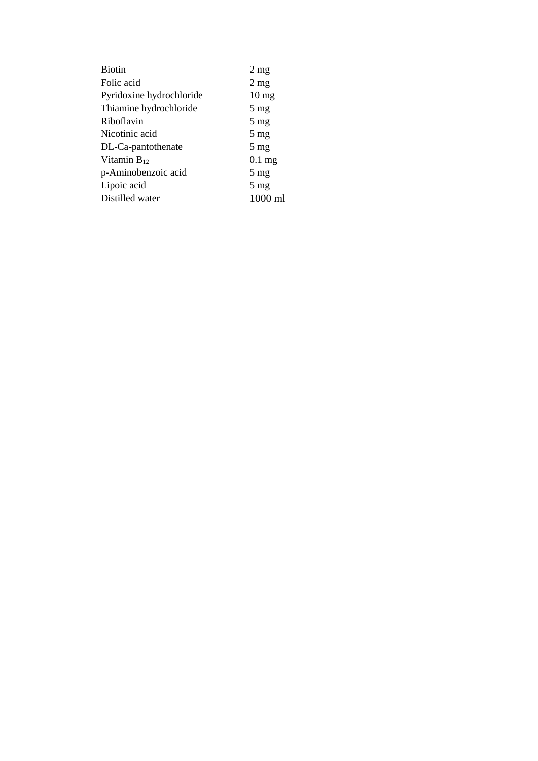| <b>Biotin</b>            | $2 \text{ mg}$  |
|--------------------------|-----------------|
| Folic acid               | $2 \text{ mg}$  |
| Pyridoxine hydrochloride | $10 \text{ mg}$ |
| Thiamine hydrochloride   | $5 \text{ mg}$  |
| Riboflavin               | $5 \text{ mg}$  |
| Nicotinic acid           | $5 \text{ mg}$  |
| DL-Ca-pantothenate       | $5 \text{ mg}$  |
| Vitamin $B_{12}$         | $0.1$ mg        |
| p-Aminobenzoic acid      | $5 \text{ mg}$  |
| Lipoic acid              | $5 \text{ mg}$  |
| Distilled water          | 1000 ml         |
|                          |                 |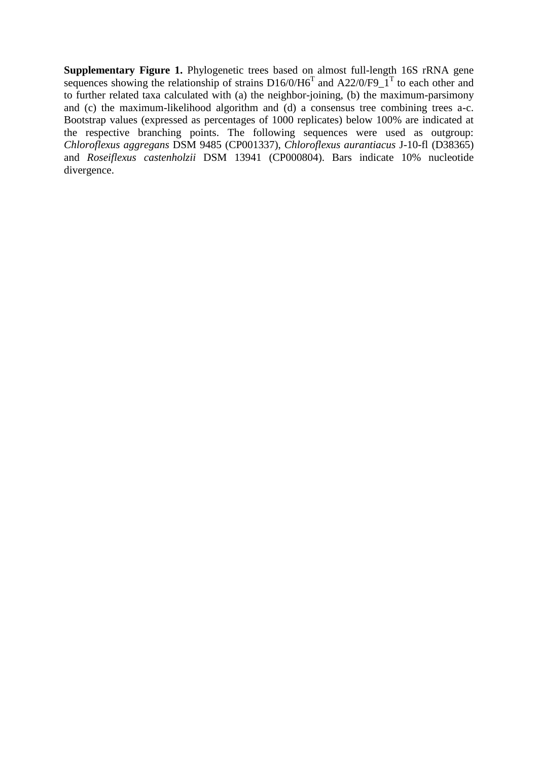**Supplementary Figure 1.** Phylogenetic trees based on almost full-length 16S rRNA gene sequences showing the relationship of strains  $D16/0/H6<sup>T</sup>$  and A22/0/F9\_1<sup>T</sup> to each other and to further related taxa calculated with (a) the neighbor-joining, (b) the maximum-parsimony and (c) the maximum-likelihood algorithm and (d) a consensus tree combining trees a-c. Bootstrap values (expressed as percentages of 1000 replicates) below 100% are indicated at the respective branching points. The following sequences were used as outgroup: *Chloroflexus aggregans* DSM 9485 (CP001337), *Chloroflexus aurantiacus* J-10-fl (D38365) and *Roseiflexus castenholzii* DSM 13941 (CP000804). Bars indicate 10% nucleotide divergence.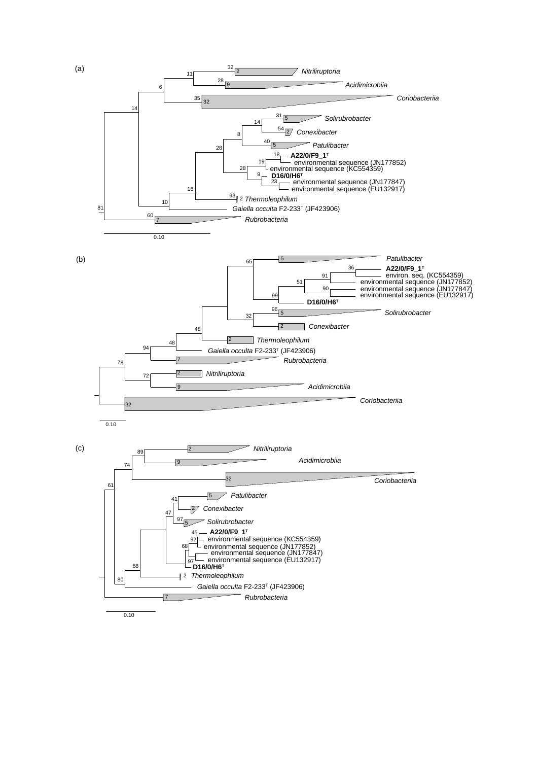

(a)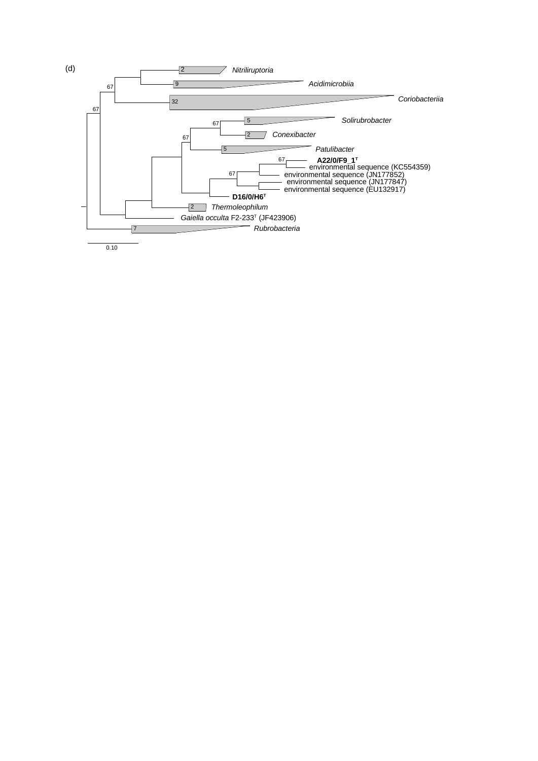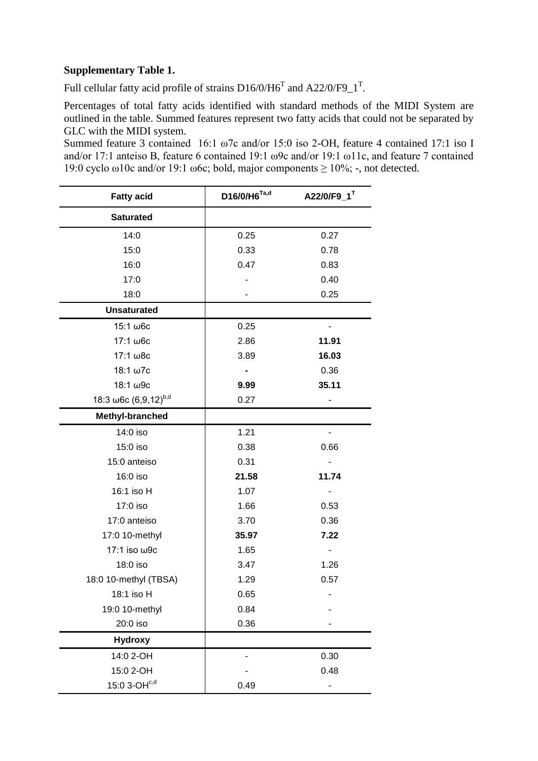### **Supplementary Table 1.**

Full cellular fatty acid profile of strains  $D16/0/H6<sup>T</sup>$  and  $A22/0/F9<sup>T</sup>$ .

Percentages of total fatty acids identified with standard methods of the MIDI System are outlined in the table. Summed features represent two fatty acids that could not be separated by GLC with the MIDI system.

Summed feature 3 contained 16:1 ω7c and/or 15:0 iso 2-OH, feature 4 contained 17:1 iso I and/or 17:1 anteiso B, feature 6 contained 19:1 ω9c and/or 19:1 ω11c, and feature 7 contained 19:0 cyclo ω10c and/or 19:1 ω6c; bold, major components  $\geq 10\%$ ; -, not detected.

| <b>Fatty acid</b>                        | D16/0/H6 <sup>Ta,d</sup> | A22/0/F9_1 <sup>T</sup> |
|------------------------------------------|--------------------------|-------------------------|
| <b>Saturated</b>                         |                          |                         |
| 14:0                                     | 0.25                     | 0.27                    |
| 15:0                                     | 0.33                     | 0.78                    |
| 16:0                                     | 0.47                     | 0.83                    |
| 17:0                                     |                          | 0.40                    |
| 18:0                                     |                          | 0.25                    |
| <b>Unsaturated</b>                       |                          |                         |
| 15:1 ω6c                                 | 0.25                     |                         |
| 17:1 ω6c                                 | 2.86                     | 11.91                   |
| 17:1 ω8c                                 | 3.89                     | 16.03                   |
| 18:1 ω7c                                 |                          | 0.36                    |
| 18:1 ω9c                                 | 9.99                     | 35.11                   |
| 18:3 $\omega$ 6c (6,9,12) <sup>b,d</sup> | 0.27                     |                         |
| Methyl-branched                          |                          |                         |
| 14:0 iso                                 | 1.21                     |                         |
| 15:0 iso                                 | 0.38                     | 0.66                    |
| 15:0 anteiso                             | 0.31                     |                         |
| 16:0 iso                                 | 21.58                    | 11.74                   |
| 16:1 iso H                               | 1.07                     |                         |
| 17:0 iso                                 | 1.66                     | 0.53                    |
| 17:0 anteiso                             | 3.70                     | 0.36                    |
| 17:0 10-methyl                           | 35.97                    | 7.22                    |
| 17:1 iso ω9c                             | 1.65                     |                         |
| 18:0 iso                                 | 3.47                     | 1.26                    |
| 18:0 10-methyl (TBSA)                    | 1.29                     | 0.57                    |
| 18:1 iso H                               | 0.65                     |                         |
| 19:0 10-methyl                           | 0.84                     |                         |
| 20:0 iso                                 | 0.36                     |                         |
| <b>Hydroxy</b>                           |                          |                         |
| 14:0 2-OH                                |                          | 0.30                    |
| 15:0 2-OH                                |                          | 0.48                    |
| 15:0 $3$ -OH $^{c,d}$                    | 0.49                     |                         |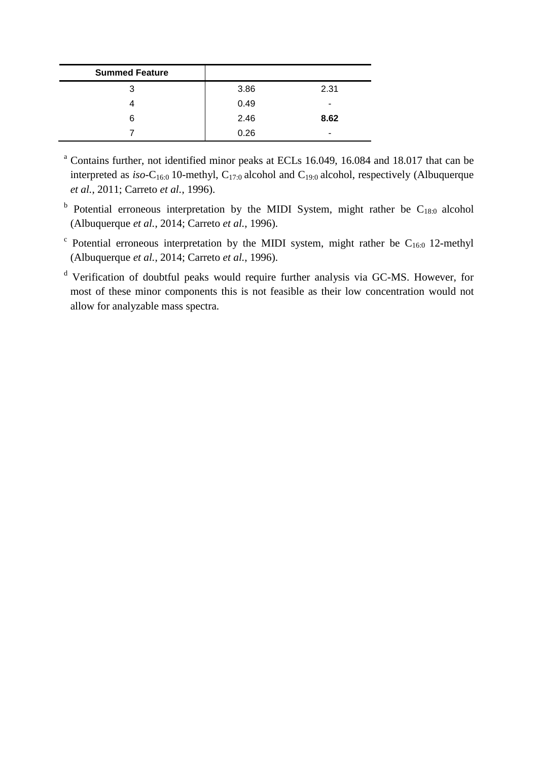| <b>Summed Feature</b> |      |      |
|-----------------------|------|------|
| 3                     | 3.86 | 2.31 |
|                       | 0.49 | -    |
| 6                     | 2.46 | 8.62 |
|                       | 0.26 | -    |

<sup>a</sup> Contains further, not identified minor peaks at ECLs 16.049, 16.084 and 18.017 that can be interpreted as  $iso-C_{16:0}$  10-methyl,  $C_{17:0}$  alcohol and  $C_{19:0}$  alcohol, respectively (Albuquerque *et al.*, 2011; Carreto *et al.*, 1996).

- <sup>b</sup> Potential erroneous interpretation by the MIDI System, might rather be  $C_{18:0}$  alcohol (Albuquerque *et al.*, 2014; Carreto *et al.*, 1996).
- <sup>c</sup> Potential erroneous interpretation by the MIDI system, might rather be  $C_{16:0}$  12-methyl (Albuquerque *et al.*, 2014; Carreto *et al.*, 1996).

<sup>d</sup> Verification of doubtful peaks would require further analysis via GC-MS. However, for most of these minor components this is not feasible as their low concentration would not allow for analyzable mass spectra.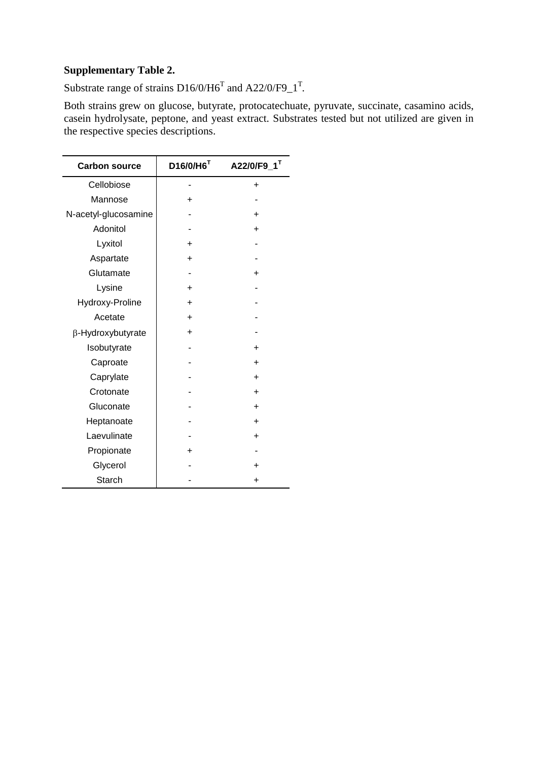## **Supplementary Table 2.**

Substrate range of strains  $D16/0/H6^T$  and  $A22/0/F9\_1^T$ .

Both strains grew on glucose, butyrate, protocatechuate, pyruvate, succinate, casamino acids, casein hydrolysate, peptone, and yeast extract. Substrates tested but not utilized are given in the respective species descriptions.

| <b>Carbon source</b> | $D16/0/H6$ <sup>T</sup> | A22/0/F9_1 <sup>T</sup> |
|----------------------|-------------------------|-------------------------|
| Cellobiose           |                         | ÷                       |
| Mannose              | +                       |                         |
| N-acetyl-glucosamine |                         | ÷                       |
| Adonitol             |                         | ÷                       |
| Lyxitol              | +                       |                         |
| Aspartate            | ÷                       |                         |
| Glutamate            |                         | ÷                       |
| Lysine               | +                       |                         |
| Hydroxy-Proline      | ÷                       |                         |
| Acetate              | $\ddot{}$               |                         |
| β-Hydroxybutyrate    | ÷                       |                         |
| Isobutyrate          |                         | ÷                       |
| Caproate             |                         | ÷                       |
| Caprylate            |                         | ÷                       |
| Crotonate            |                         | ÷                       |
| Gluconate            |                         | $\ddot{}$               |
| Heptanoate           |                         | ÷                       |
| Laevulinate          |                         | ÷.                      |
| Propionate           | ٠                       |                         |
| Glycerol             |                         | ÷                       |
| <b>Starch</b>        |                         | ÷                       |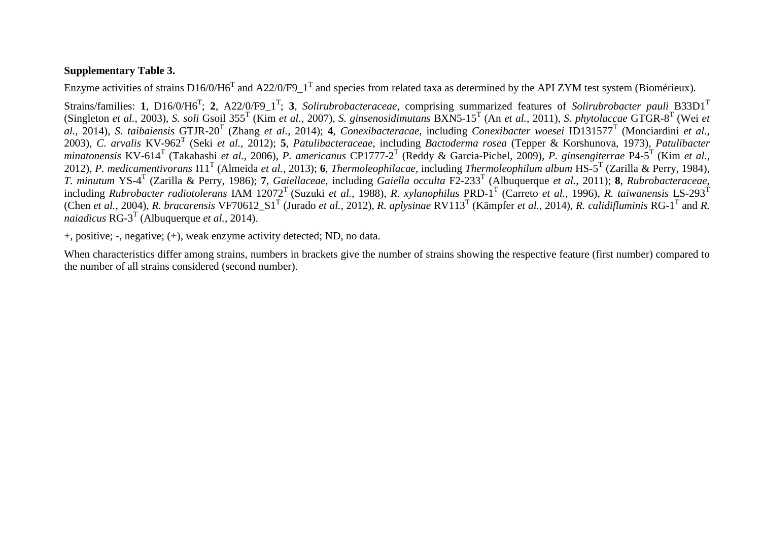### **Supplementary Table 3.**

Enzyme activities of strains  $D16/0/H6<sup>T</sup>$  and A22/0/F9\_1<sup>T</sup> and species from related taxa as determined by the API ZYM test system (Biomérieux).

Strains/families: 1, D16/0/H6<sup>T</sup>; 2, A22/0/F9\_1<sup>T</sup>; 3, *Solirubrobacteraceae*, comprising summarized features of *Solirubrobacter pauli* B33D1<sup>T</sup> (Singleton *et al.*, 2003), *S. soli* Gsoil 355<sup>T</sup> (Kim *et al.*, 2007), *S. ginsenosidimutans* BXN5-15<sup>T</sup> (An *et al.*, 2011), *S. phytolaccae* GTGR-8 T (Wei *et al.*, 2014), *S. taibaiensis* GTJR-20<sup>T</sup> (Zhang *et al.*, 2014); **4**, *Conexibacteracae*, including *Conexibacter woesei* ID131577<sup>T</sup> (Monciardini *et al.*, 2003), *C. arvalis* KV-962 T (Seki *et al.*, 2012); **5**, *Patulibacteraceae*, including *Bactoderma rosea* (Tepper & Korshunova, 1973), *Patulibacter minatonensis* KV-614<sup>T</sup> (Takahashi *et al.*, 2006), *P. americanus* CP1777-2 T (Reddy & Garcia-Pichel, 2009), *P. ginsengiterrae* P4-5 T (Kim *et al.*, 2012), *P. medicamentivorans* I11<sup>T</sup> (Almeida *et al.*, 2013); **6**, *Thermoleophilacae*, including *Thermoleophilum album* HS-5 T (Zarilla & Perry, 1984), *T. minutum* YS-4 T (Zarilla & Perry, 1986); **7**, *Gaiellaceae*, including *Gaiella occulta* F2-233<sup>T</sup> (Albuquerque *et al.*, 2011); **8**, *Rubrobacteraceae*, including *Rubrobacter radiotolerans* IAM 12072<sup>T</sup>(Suzuki *et al.*, 1988), *R. xylanophilus* PRD-1 T (Carreto *et al.*, 1996), *R. taiwanensis* LS-293<sup>T</sup> (Chen *et al.*, 2004), *R. bracarensis* VF70612\_S1<sup>T</sup> (Jurado *et al.*, 2012), *R. aplysinae* RV113<sup>T</sup> (Kämpfer *et al.*, 2014), *R. calidifluminis* RG-1<sup>T</sup> and *R. naiadicus* RG-3 T (Albuquerque *et al.*, 2014).

+, positive; -, negative; (+), weak enzyme activity detected; ND, no data.

When characteristics differ among strains, numbers in brackets give the number of strains showing the respective feature (first number) compared to the number of all strains considered (second number).